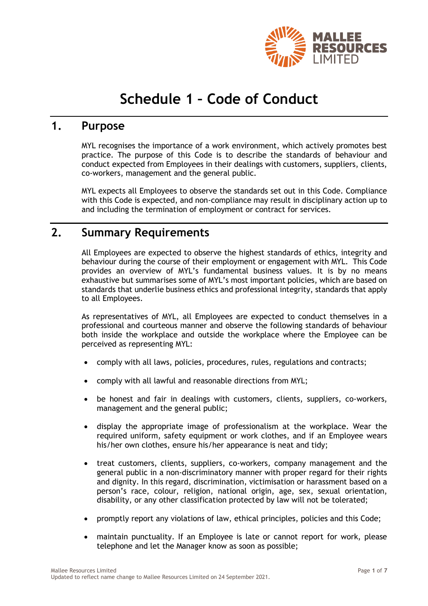

# **Schedule 1 – Code of Conduct**

#### **1. Purpose**

MYL recognises the importance of a work environment, which actively promotes best practice. The purpose of this Code is to describe the standards of behaviour and conduct expected from Employees in their dealings with customers, suppliers, clients, co-workers, management and the general public.

MYL expects all Employees to observe the standards set out in this Code. Compliance with this Code is expected, and non-compliance may result in disciplinary action up to and including the termination of employment or contract for services.

#### **2. Summary Requirements**

All Employees are expected to observe the highest standards of ethics, integrity and behaviour during the course of their employment or engagement with MYL. This Code provides an overview of MYL's fundamental business values. It is by no means exhaustive but summarises some of MYL's most important policies, which are based on standards that underlie business ethics and professional integrity, standards that apply to all Employees.

As representatives of MYL, all Employees are expected to conduct themselves in a professional and courteous manner and observe the following standards of behaviour both inside the workplace and outside the workplace where the Employee can be perceived as representing MYL:

- comply with all laws, policies, procedures, rules, regulations and contracts;
- comply with all lawful and reasonable directions from MYL;
- be honest and fair in dealings with customers, clients, suppliers, co-workers, management and the general public;
- display the appropriate image of professionalism at the workplace. Wear the required uniform, safety equipment or work clothes, and if an Employee wears his/her own clothes, ensure his/her appearance is neat and tidy;
- treat customers, clients, suppliers, co-workers, company management and the general public in a non-discriminatory manner with proper regard for their rights and dignity. In this regard, discrimination, victimisation or harassment based on a person's race, colour, religion, national origin, age, sex, sexual orientation, disability, or any other classification protected by law will not be tolerated;
- promptly report any violations of law, ethical principles, policies and this Code;
- maintain punctuality. If an Employee is late or cannot report for work, please telephone and let the Manager know as soon as possible;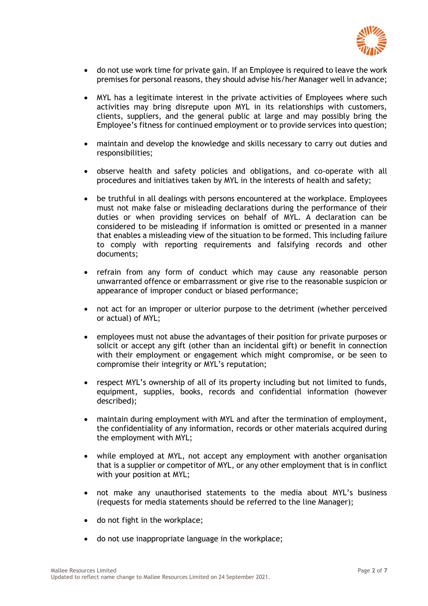

- do not use work time for private gain. If an Employee is required to leave the work premises for personal reasons, they should advise his/her Manager well in advance;
- MYL has a legitimate interest in the private activities of Employees where such activities may bring disrepute upon MYL in its relationships with customers, clients, suppliers, and the general public at large and may possibly bring the Employee's fitness for continued employment or to provide services into question;
- maintain and develop the knowledge and skills necessary to carry out duties and responsibilities;
- observe health and safety policies and obligations, and co-operate with all procedures and initiatives taken by MYL in the interests of health and safety;
- be truthful in all dealings with persons encountered at the workplace. Employees must not make false or misleading declarations during the performance of their duties or when providing services on behalf of MYL. A declaration can be considered to be misleading if information is omitted or presented in a manner that enables a misleading view of the situation to be formed. This including failure to comply with reporting requirements and falsifying records and other documents;
- refrain from any form of conduct which may cause any reasonable person unwarranted offence or embarrassment or give rise to the reasonable suspicion or appearance of improper conduct or biased performance;
- not act for an improper or ulterior purpose to the detriment (whether perceived or actual) of MYL;
- employees must not abuse the advantages of their position for private purposes or solicit or accept any gift (other than an incidental gift) or benefit in connection with their employment or engagement which might compromise, or be seen to compromise their integrity or MYL's reputation;
- respect MYL's ownership of all of its property including but not limited to funds, equipment, supplies, books, records and confidential information (however described);
- maintain during employment with MYL and after the termination of employment, the confidentiality of any information, records or other materials acquired during the employment with MYL;
- while employed at MYL, not accept any employment with another organisation that is a supplier or competitor of MYL, or any other employment that is in conflict with your position at MYL;
- not make any unauthorised statements to the media about MYL's business (requests for media statements should be referred to the line Manager);
- do not fight in the workplace;
- do not use inappropriate language in the workplace;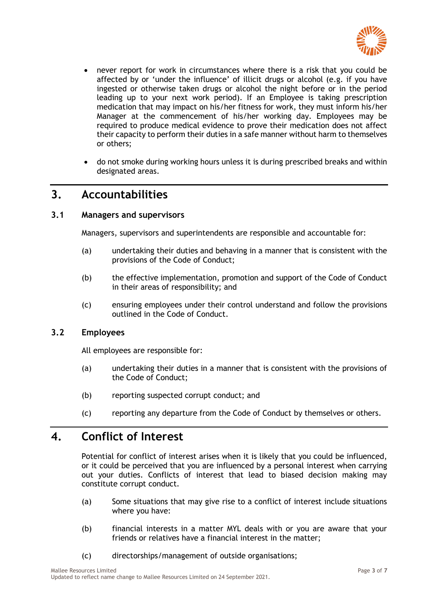

- never report for work in circumstances where there is a risk that you could be affected by or 'under the influence' of illicit drugs or alcohol (e.g. if you have ingested or otherwise taken drugs or alcohol the night before or in the period leading up to your next work period). If an Employee is taking prescription medication that may impact on his/her fitness for work, they must inform his/her Manager at the commencement of his/her working day. Employees may be required to produce medical evidence to prove their medication does not affect their capacity to perform their duties in a safe manner without harm to themselves or others;
- do not smoke during working hours unless it is during prescribed breaks and within designated areas.

## **3. Accountabilities**

#### **3.1 Managers and supervisors**

Managers, supervisors and superintendents are responsible and accountable for:

- (a) undertaking their duties and behaving in a manner that is consistent with the provisions of the Code of Conduct;
- (b) the effective implementation, promotion and support of the Code of Conduct in their areas of responsibility; and
- (c) ensuring employees under their control understand and follow the provisions outlined in the Code of Conduct.

#### **3.2 Employees**

All employees are responsible for:

- (a) undertaking their duties in a manner that is consistent with the provisions of the Code of Conduct;
- (b) reporting suspected corrupt conduct; and
- (c) reporting any departure from the Code of Conduct by themselves or others.

## **4. Conflict of Interest**

Potential for conflict of interest arises when it is likely that you could be influenced, or it could be perceived that you are influenced by a personal interest when carrying out your duties. Conflicts of interest that lead to biased decision making may constitute corrupt conduct.

- (a) Some situations that may give rise to a conflict of interest include situations where you have:
- (b) financial interests in a matter MYL deals with or you are aware that your friends or relatives have a financial interest in the matter;
- (c) directorships/management of outside organisations;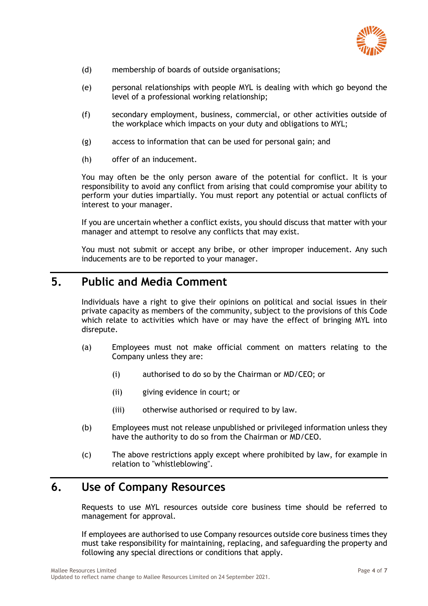

- (d) membership of boards of outside organisations;
- (e) personal relationships with people MYL is dealing with which go beyond the level of a professional working relationship;
- (f) secondary employment, business, commercial, or other activities outside of the workplace which impacts on your duty and obligations to MYL;
- (g) access to information that can be used for personal gain; and
- (h) offer of an inducement.

You may often be the only person aware of the potential for conflict. It is your responsibility to avoid any conflict from arising that could compromise your ability to perform your duties impartially. You must report any potential or actual conflicts of interest to your manager.

If you are uncertain whether a conflict exists, you should discuss that matter with your manager and attempt to resolve any conflicts that may exist.

You must not submit or accept any bribe, or other improper inducement. Any such inducements are to be reported to your manager.

## **5. Public and Media Comment**

Individuals have a right to give their opinions on political and social issues in their private capacity as members of the community, subject to the provisions of this Code which relate to activities which have or may have the effect of bringing MYL into disrepute.

- (a) Employees must not make official comment on matters relating to the Company unless they are:
	- (i) authorised to do so by the Chairman or MD/CEO; or
	- (ii) giving evidence in court; or
	- (iii) otherwise authorised or required to by law.
- (b) Employees must not release unpublished or privileged information unless they have the authority to do so from the Chairman or MD/CEO.
- (c) The above restrictions apply except where prohibited by law, for example in relation to "whistleblowing".

## **6. Use of Company Resources**

Requests to use MYL resources outside core business time should be referred to management for approval.

If employees are authorised to use Company resources outside core business times they must take responsibility for maintaining, replacing, and safeguarding the property and following any special directions or conditions that apply.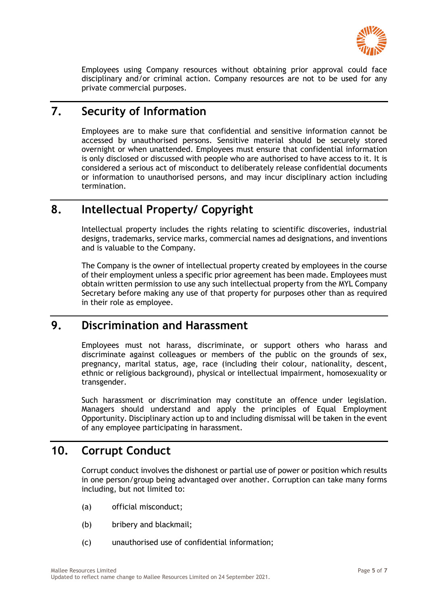

Employees using Company resources without obtaining prior approval could face disciplinary and/or criminal action. Company resources are not to be used for any private commercial purposes.

## **7. Security of Information**

Employees are to make sure that confidential and sensitive information cannot be accessed by unauthorised persons. Sensitive material should be securely stored overnight or when unattended. Employees must ensure that confidential information is only disclosed or discussed with people who are authorised to have access to it. It is considered a serious act of misconduct to deliberately release confidential documents or information to unauthorised persons, and may incur disciplinary action including termination.

## **8. Intellectual Property/ Copyright**

Intellectual property includes the rights relating to scientific discoveries, industrial designs, trademarks, service marks, commercial names ad designations, and inventions and is valuable to the Company.

The Company is the owner of intellectual property created by employees in the course of their employment unless a specific prior agreement has been made. Employees must obtain written permission to use any such intellectual property from the MYL Company Secretary before making any use of that property for purposes other than as required in their role as employee.

## **9. Discrimination and Harassment**

Employees must not harass, discriminate, or support others who harass and discriminate against colleagues or members of the public on the grounds of sex, pregnancy, marital status, age, race (including their colour, nationality, descent, ethnic or religious background), physical or intellectual impairment, homosexuality or transgender.

Such harassment or discrimination may constitute an offence under legislation. Managers should understand and apply the principles of Equal Employment Opportunity. Disciplinary action up to and including dismissal will be taken in the event of any employee participating in harassment.

## **10. Corrupt Conduct**

Corrupt conduct involves the dishonest or partial use of power or position which results in one person/group being advantaged over another. Corruption can take many forms including, but not limited to:

- (a) official misconduct;
- (b) bribery and blackmail;
- (c) unauthorised use of confidential information;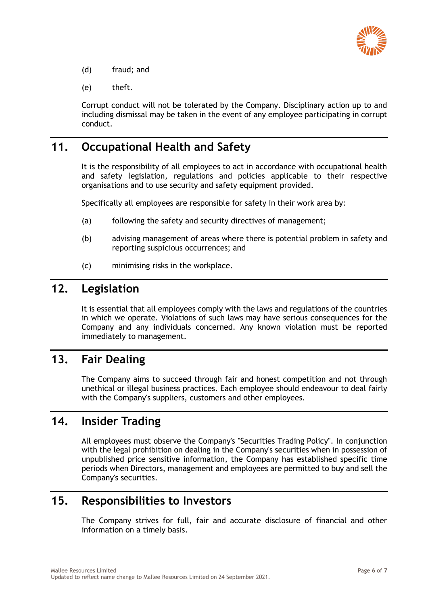

- (d) fraud; and
- (e) theft.

Corrupt conduct will not be tolerated by the Company. Disciplinary action up to and including dismissal may be taken in the event of any employee participating in corrupt conduct.

## **11. Occupational Health and Safety**

It is the responsibility of all employees to act in accordance with occupational health and safety legislation, regulations and policies applicable to their respective organisations and to use security and safety equipment provided.

Specifically all employees are responsible for safety in their work area by:

- (a) following the safety and security directives of management;
- (b) advising management of areas where there is potential problem in safety and reporting suspicious occurrences; and
- (c) minimising risks in the workplace.

### **12. Legislation**

It is essential that all employees comply with the laws and regulations of the countries in which we operate. Violations of such laws may have serious consequences for the Company and any individuals concerned. Any known violation must be reported immediately to management.

### **13. Fair Dealing**

The Company aims to succeed through fair and honest competition and not through unethical or illegal business practices. Each employee should endeavour to deal fairly with the Company's suppliers, customers and other employees.

## **14. Insider Trading**

All employees must observe the Company's "Securities Trading Policy". In conjunction with the legal prohibition on dealing in the Company's securities when in possession of unpublished price sensitive information, the Company has established specific time periods when Directors, management and employees are permitted to buy and sell the Company's securities.

## **15. Responsibilities to Investors**

The Company strives for full, fair and accurate disclosure of financial and other information on a timely basis.